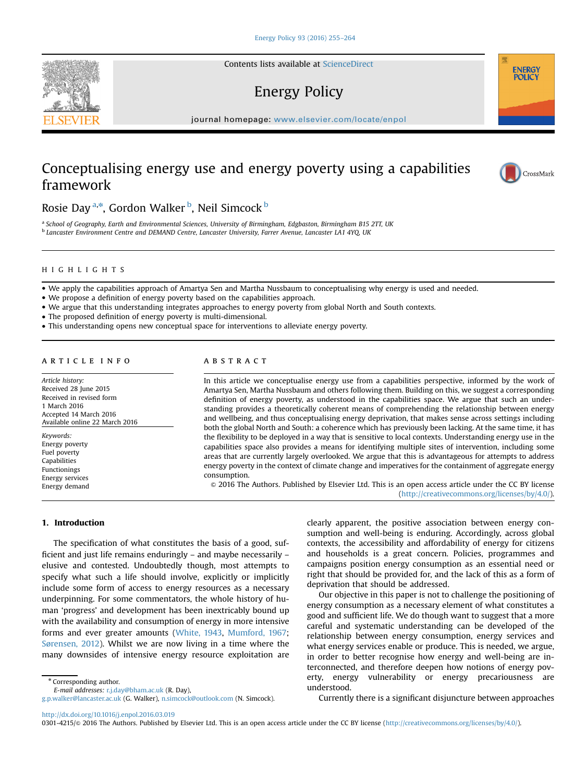Contents lists available at [ScienceDirect](www.sciencedirect.com/science/journal/03014215)

# Energy Policy

journal homepage: <www.elsevier.com/locate/enpol>e  $\mathcal{N}$ 

# Conceptualising energy use and energy poverty using a capabilities framework



**ENERGY POLIC** 

Rosie Day <sup>a,\*</sup>, Gordon Walker <sup>b</sup>, Neil Simcock <sup>b</sup>

a School of Geography, Earth and Environmental Sciences, University of Birmingham, Edgbaston, Birmingham B15 2TT, UK <sup>b</sup> Lancaster Environment Centre and DEMAND Centre, Lancaster University, Farrer Avenue, Lancaster LA1 4YQ, UK

## HIGHLIGHTS

We apply the capabilities approach of Amartya Sen and Martha Nussbaum to conceptualising why energy is used and needed.

We propose a definition of energy poverty based on the capabilities approach.

We argue that this understanding integrates approaches to energy poverty from global North and South contexts.

The proposed definition of energy poverty is multi-dimensional.

This understanding opens new conceptual space for interventions to alleviate energy poverty.

## article info

Article history: Received 28 June 2015 Received in revised form 1 March 2016 Accepted 14 March 2016 Available online 22 March 2016 Keywords:

Energy poverty Fuel poverty Capabilities Functionings Energy services Energy demand

# **ABSTRACT**

In this article we conceptualise energy use from a capabilities perspective, informed by the work of Amartya Sen, Martha Nussbaum and others following them. Building on this, we suggest a corresponding definition of energy poverty, as understood in the capabilities space. We argue that such an understanding provides a theoretically coherent means of comprehending the relationship between energy and wellbeing, and thus conceptualising energy deprivation, that makes sense across settings including both the global North and South: a coherence which has previously been lacking. At the same time, it has the flexibility to be deployed in a way that is sensitive to local contexts. Understanding energy use in the capabilities space also provides a means for identifying multiple sites of intervention, including some areas that are currently largely overlooked. We argue that this is advantageous for attempts to address energy poverty in the context of climate change and imperatives for the containment of aggregate energy consumption.

& 2016 The Authors. Published by Elsevier Ltd. This is an open access article under the CC BY license (http://creativecommons.org/licenses/by/4.0/).

## 1. Introduction

The specification of what constitutes the basis of a good, sufficient and just life remains enduringly – and maybe necessarily – elusive and contested. Undoubtedly though, most attempts to specify what such a life should involve, explicitly or implicitly include some form of access to energy resources as a necessary underpinning. For some commentators, the whole history of human 'progress' and development has been inextricably bound up with the availability and consumption of energy in more intensive forms and ever greater amounts [\(White, 1943](#page-9-0), [Mumford, 1967;](#page-8-0) [Sørensen, 2012\)](#page-9-0). Whilst we are now living in a time where the many downsides of intensive energy resource exploitation are

\* Corresponding author.

E-mail addresses: [r.j.day@bham.ac.uk](mailto:r.j.day@bham.ac.uk) (R. Day),

[g.p.walker@lancaster.ac.uk](mailto:g.p.walker@lancaster.ac.uk) (G. Walker), [n.simcock@outlook.com](mailto:n.simcock@outlook.com) (N. Simcock).

clearly apparent, the positive association between energy consumption and well-being is enduring. Accordingly, across global contexts, the accessibility and affordability of energy for citizens and households is a great concern. Policies, programmes and campaigns position energy consumption as an essential need or right that should be provided for, and the lack of this as a form of deprivation that should be addressed.

Our objective in this paper is not to challenge the positioning of energy consumption as a necessary element of what constitutes a good and sufficient life. We do though want to suggest that a more careful and systematic understanding can be developed of the relationship between energy consumption, energy services and what energy services enable or produce. This is needed, we argue, in order to better recognise how energy and well-being are interconnected, and therefore deepen how notions of energy poverty, energy vulnerability or energy precariousness are understood.

Currently there is a significant disjuncture between approaches

<http://dx.doi.org/10.1016/j.enpol.2016.03.019>

0301-4215/© 2016 The Authors. Published by Elsevier Ltd. This is an open access article under the CC BY license (http://creativecommons.org/licenses/by/4.0/).

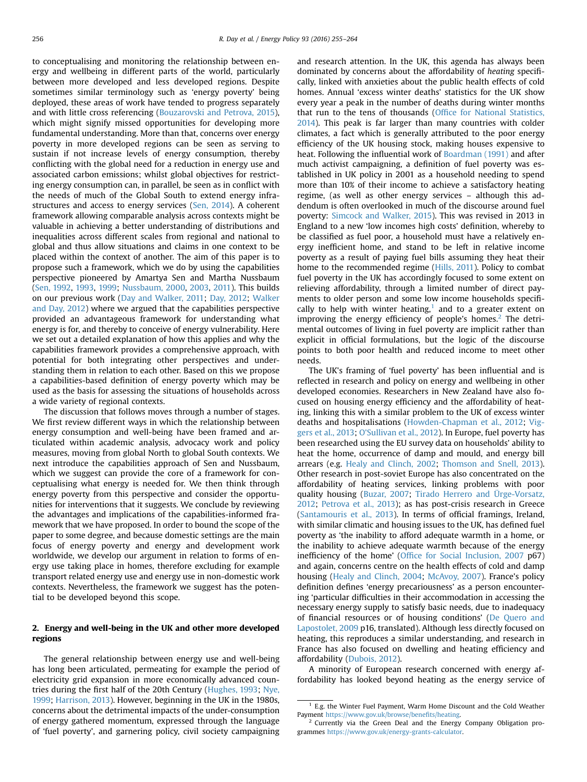to conceptualising and monitoring the relationship between energy and wellbeing in different parts of the world, particularly between more developed and less developed regions. Despite sometimes similar terminology such as 'energy poverty' being deployed, these areas of work have tended to progress separately and with little cross referencing ([Bouzarovski and Petrova, 2015\)](#page-8-0), which might signify missed opportunities for developing more fundamental understanding. More than that, concerns over energy poverty in more developed regions can be seen as serving to sustain if not increase levels of energy consumption, thereby conflicting with the global need for a reduction in energy use and associated carbon emissions; whilst global objectives for restricting energy consumption can, in parallel, be seen as in conflict with the needs of much of the Global South to extend energy infrastructures and access to energy services ([Sen, 2014](#page-9-0)). A coherent framework allowing comparable analysis across contexts might be valuable in achieving a better understanding of distributions and inequalities across different scales from regional and national to global and thus allow situations and claims in one context to be placed within the context of another. The aim of this paper is to propose such a framework, which we do by using the capabilities perspective pioneered by Amartya Sen and Martha Nussbaum ([Sen, 1992,](#page-9-0) [1993](#page-9-0), [1999](#page-9-0); [Nussbaum, 2000,](#page-8-0) [2003,](#page-8-0) [2011](#page-8-0)). This builds on our previous work ([Day and Walker, 2011](#page-8-0); [Day, 2012;](#page-8-0) [Walker](#page-9-0) [and Day, 2012\)](#page-9-0) where we argued that the capabilities perspective provided an advantageous framework for understanding what energy is for, and thereby to conceive of energy vulnerability. Here we set out a detailed explanation of how this applies and why the capabilities framework provides a comprehensive approach, with potential for both integrating other perspectives and understanding them in relation to each other. Based on this we propose a capabilities-based definition of energy poverty which may be used as the basis for assessing the situations of households across a wide variety of regional contexts.

The discussion that follows moves through a number of stages. We first review different ways in which the relationship between energy consumption and well-being have been framed and articulated within academic analysis, advocacy work and policy measures, moving from global North to global South contexts. We next introduce the capabilities approach of Sen and Nussbaum, which we suggest can provide the core of a framework for conceptualising what energy is needed for. We then think through energy poverty from this perspective and consider the opportunities for interventions that it suggests. We conclude by reviewing the advantages and implications of the capabilities-informed framework that we have proposed. In order to bound the scope of the paper to some degree, and because domestic settings are the main focus of energy poverty and energy and development work worldwide, we develop our argument in relation to forms of energy use taking place in homes, therefore excluding for example transport related energy use and energy use in non-domestic work contexts. Nevertheless, the framework we suggest has the potential to be developed beyond this scope.

## 2. Energy and well-being in the UK and other more developed regions

The general relationship between energy use and well-being has long been articulated, permeating for example the period of electricity grid expansion in more economically advanced countries during the first half of the 20th Century ([Hughes, 1993;](#page-8-0) [Nye,](#page-8-0) [1999](#page-8-0); [Harrison, 2013\)](#page-8-0). However, beginning in the UK in the 1980s, concerns about the detrimental impacts of the under-consumption of energy gathered momentum, expressed through the language of 'fuel poverty', and garnering policy, civil society campaigning and research attention. In the UK, this agenda has always been dominated by concerns about the affordability of heating specifically, linked with anxieties about the public health effects of cold homes. Annual 'excess winter deaths' statistics for the UK show every year a peak in the number of deaths during winter months that run to the tens of thousands (Offi[ce for National Statistics,](#page-8-0) [2014\)](#page-8-0). This peak is far larger than many countries with colder climates, a fact which is generally attributed to the poor energy efficiency of the UK housing stock, making houses expensive to heat. Following the influential work of [Boardman \(1991\)](#page-8-0) and after much activist campaigning, a definition of fuel poverty was established in UK policy in 2001 as a household needing to spend more than 10% of their income to achieve a satisfactory heating regime, (as well as other energy services – although this addendum is often overlooked in much of the discourse around fuel poverty: [Simcock and Walker, 2015](#page-9-0)). This was revised in 2013 in England to a new 'low incomes high costs' definition, whereby to be classified as fuel poor, a household must have a relatively energy inefficient home, and stand to be left in relative income poverty as a result of paying fuel bills assuming they heat their home to the recommended regime ([Hills, 2011](#page-8-0)). Policy to combat fuel poverty in the UK has accordingly focused to some extent on relieving affordability, through a limited number of direct payments to older person and some low income households specifically to help with winter heating,<sup>1</sup> and to a greater extent on improving the energy efficiency of people's homes.<sup>2</sup> The detrimental outcomes of living in fuel poverty are implicit rather than explicit in official formulations, but the logic of the discourse points to both poor health and reduced income to meet other needs.

The UK's framing of 'fuel poverty' has been influential and is reflected in research and policy on energy and wellbeing in other developed economies. Researchers in New Zealand have also focused on housing energy efficiency and the affordability of heating, linking this with a similar problem to the UK of excess winter deaths and hospitalisations [\(Howden-Chapman et al., 2012;](#page-8-0) [Vig](#page-9-0)[gers et al., 2013;](#page-9-0) [O'Sullivan et al., 2012\)](#page-8-0). In Europe, fuel poverty has been researched using the EU survey data on households' ability to heat the home, occurrence of damp and mould, and energy bill arrears (e.g. [Healy and Clinch, 2002](#page-8-0); [Thomson and Snell, 2013\)](#page-9-0). Other research in post-soviet Europe has also concentrated on the affordability of heating services, linking problems with poor quality housing ([Buzar, 2007](#page-8-0); [Tirado Herrero and Ürge-Vorsatz,](#page-9-0) [2012](#page-9-0); [Petrova et al., 2013](#page-8-0)); as has post-crisis research in Greece ([Santamouris et al., 2013](#page-9-0)). In terms of official framings, Ireland, with similar climatic and housing issues to the UK, has defined fuel poverty as 'the inability to afford adequate warmth in a home, or the inability to achieve adequate warmth because of the energy inefficiency of the home' (Offi[ce for Social Inclusion, 2007](#page-8-0) p67) and again, concerns centre on the health effects of cold and damp housing [\(Healy and Clinch, 2004](#page-8-0); [McAvoy, 2007](#page-8-0)). France's policy definition defines 'energy precariousness' as a person encountering 'particular difficulties in their accommodation in accessing the necessary energy supply to satisfy basic needs, due to inadequacy of financial resources or of housing conditions' ([De Quero and](#page-8-0) [Lapostolet, 2009](#page-8-0) p16, translated). Although less directly focused on heating, this reproduces a similar understanding, and research in France has also focused on dwelling and heating efficiency and affordability ([Dubois, 2012](#page-8-0)).

A minority of European research concerned with energy affordability has looked beyond heating as the energy service of

 $1$  E.g. the Winter Fuel Payment, Warm Home Discount and the Cold Weather Payment [https://www.gov.uk/browse/bene](https://www.gov.uk/browse/benefits/heating)fits/heating.

<sup>2</sup> Currently via the Green Deal and the Energy Company Obligation programmes [https://www.gov.uk/energy-grants-calculator](http://https://www.gov.uk/energy-grants-calculator).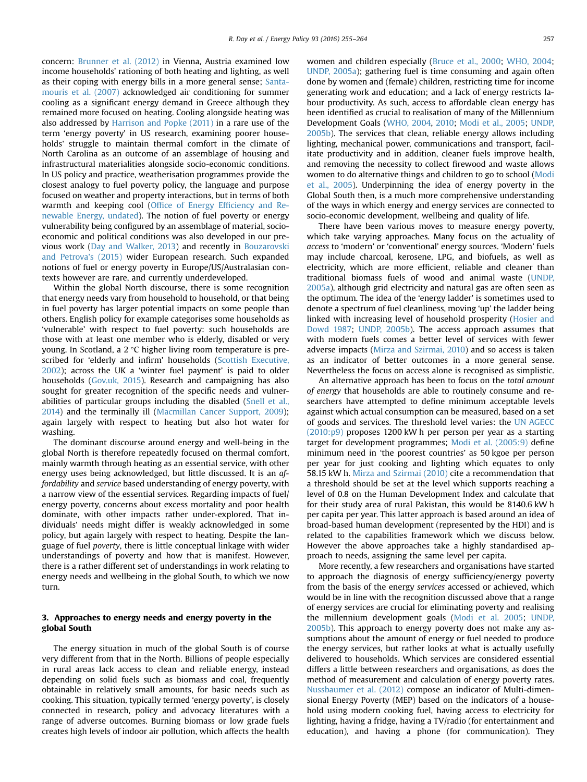concern: [Brunner et al. \(2012\)](#page-8-0) in Vienna, Austria examined low income households' rationing of both heating and lighting, as well as their coping with energy bills in a more general sense; [Santa](#page-9-0)[mouris et al. \(2007\)](#page-9-0) acknowledged air conditioning for summer cooling as a significant energy demand in Greece although they remained more focused on heating. Cooling alongside heating was also addressed by [Harrison and Popke \(2011\)](#page-8-0) in a rare use of the term 'energy poverty' in US research, examining poorer households' struggle to maintain thermal comfort in the climate of North Carolina as an outcome of an assemblage of housing and infrastructural materialities alongside socio-economic conditions. In US policy and practice, weatherisation programmes provide the closest analogy to fuel poverty policy, the language and purpose focused on weather and property interactions, but in terms of both warmth and keeping cool (Offi[ce of Energy Ef](#page-8-0)ficiency and Re[newable Energy, undated\)](#page-8-0). The notion of fuel poverty or energy vulnerability being configured by an assemblage of material, socioeconomic and political conditions was also developed in our previous work [\(Day and Walker, 2013](#page-8-0)) and recently in [Bouzarovski](#page-8-0) [and Petrova's \(2015\)](#page-8-0) wider European research. Such expanded notions of fuel or energy poverty in Europe/US/Australasian contexts however are rare, and currently underdeveloped.

Within the global North discourse, there is some recognition that energy needs vary from household to household, or that being in fuel poverty has larger potential impacts on some people than others. English policy for example categorises some households as 'vulnerable' with respect to fuel poverty: such households are those with at least one member who is elderly, disabled or very young. In Scotland, a 2 °C higher living room temperature is prescribed for 'elderly and infirm' households [\(Scottish Executive,](#page-9-0) [2002\)](#page-9-0); across the UK a 'winter fuel payment' is paid to older households ([Gov.uk, 2015](#page-8-0)). Research and campaigning has also sought for greater recognition of the specific needs and vulnerabilities of particular groups including the disabled [\(Snell et al.,](#page-9-0) [2014\)](#page-9-0) and the terminally ill [\(Macmillan Cancer Support, 2009\)](#page-8-0); again largely with respect to heating but also hot water for washing.

The dominant discourse around energy and well-being in the global North is therefore repeatedly focused on thermal comfort, mainly warmth through heating as an essential service, with other energy uses being acknowledged, but little discussed. It is an affordability and service based understanding of energy poverty, with a narrow view of the essential services. Regarding impacts of fuel/ energy poverty, concerns about excess mortality and poor health dominate, with other impacts rather under-explored. That individuals' needs might differ is weakly acknowledged in some policy, but again largely with respect to heating. Despite the language of fuel poverty, there is little conceptual linkage with wider understandings of poverty and how that is manifest. However, there is a rather different set of understandings in work relating to energy needs and wellbeing in the global South, to which we now turn.

## 3. Approaches to energy needs and energy poverty in the global South

The energy situation in much of the global South is of course very different from that in the North. Billions of people especially in rural areas lack access to clean and reliable energy, instead depending on solid fuels such as biomass and coal, frequently obtainable in relatively small amounts, for basic needs such as cooking. This situation, typically termed 'energy poverty', is closely connected in research, policy and advocacy literatures with a range of adverse outcomes. Burning biomass or low grade fuels creates high levels of indoor air pollution, which affects the health women and children especially [\(Bruce et al., 2000](#page-8-0); [WHO, 2004;](#page-9-0) [UNDP, 2005a\)](#page-9-0); gathering fuel is time consuming and again often done by women and (female) children, restricting time for income generating work and education; and a lack of energy restricts labour productivity. As such, access to affordable clean energy has been identified as crucial to realisation of many of the Millennium Development Goals [\(WHO, 2004](#page-9-0), [2010;](#page-9-0) [Modi et al., 2005;](#page-8-0) [UNDP,](#page-9-0) [2005b\)](#page-9-0). The services that clean, reliable energy allows including lighting, mechanical power, communications and transport, facilitate productivity and in addition, cleaner fuels improve health, and removing the necessity to collect firewood and waste allows women to do alternative things and children to go to school ([Modi](#page-8-0) [et al., 2005\)](#page-8-0). Underpinning the idea of energy poverty in the Global South then, is a much more comprehensive understanding of the ways in which energy and energy services are connected to socio-economic development, wellbeing and quality of life.

There have been various moves to measure energy poverty, which take varying approaches. Many focus on the actuality of access to 'modern' or 'conventional' energy sources. 'Modern' fuels may include charcoal, kerosene, LPG, and biofuels, as well as electricity, which are more efficient, reliable and cleaner than traditional biomass fuels of wood and animal waste ([UNDP,](#page-9-0) [2005a\)](#page-9-0), although grid electricity and natural gas are often seen as the optimum. The idea of the 'energy ladder' is sometimes used to denote a spectrum of fuel cleanliness, moving 'up' the ladder being linked with increasing level of household prosperity ([Hosier and](#page-8-0) [Dowd 1987;](#page-8-0) [UNDP, 2005b](#page-9-0)). The access approach assumes that with modern fuels comes a better level of services with fewer adverse impacts [\(Mirza and Szirmai, 2010](#page-8-0)) and so access is taken as an indicator of better outcomes in a more general sense. Nevertheless the focus on access alone is recognised as simplistic.

An alternative approach has been to focus on the total amount of energy that households are able to routinely consume and researchers have attempted to define minimum acceptable levels against which actual consumption can be measured, based on a set of goods and services. The threshold level varies: the [UN AGECC](#page-9-0) [\(2010:p9\)](#page-9-0) proposes 1200 kW h per person per year as a starting target for development programmes; [Modi et al. \(2005:9\)](#page-8-0) define minimum need in 'the poorest countries' as 50 kgoe per person per year for just cooking and lighting which equates to only 58.15 kW h. [Mirza and Szirmai \(2010\)](#page-8-0) cite a recommendation that a threshold should be set at the level which supports reaching a level of 0.8 on the Human Development Index and calculate that for their study area of rural Pakistan, this would be 8140.6 kW h per capita per year. This latter approach is based around an idea of broad-based human development (represented by the HDI) and is related to the capabilities framework which we discuss below. However the above approaches take a highly standardised approach to needs, assigning the same level per capita.

More recently, a few researchers and organisations have started to approach the diagnosis of energy sufficiency/energy poverty from the basis of the energy services accessed or achieved, which would be in line with the recognition discussed above that a range of energy services are crucial for eliminating poverty and realising the millennium development goals ([Modi et al. 2005;](#page-8-0) [UNDP,](#page-9-0) [2005b\)](#page-9-0). This approach to energy poverty does not make any assumptions about the amount of energy or fuel needed to produce the energy services, but rather looks at what is actually usefully delivered to households. Which services are considered essential differs a little between researchers and organisations, as does the method of measurement and calculation of energy poverty rates. [Nussbaumer et al. \(2012\)](#page-8-0) compose an indicator of Multi-dimensional Energy Poverty (MEP) based on the indicators of a household using modern cooking fuel, having access to electricity for lighting, having a fridge, having a TV/radio (for entertainment and education), and having a phone (for communication). They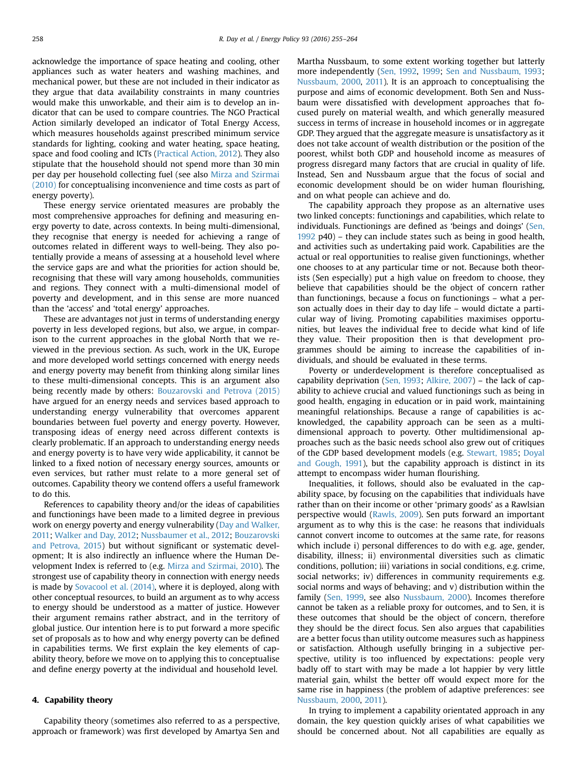acknowledge the importance of space heating and cooling, other appliances such as water heaters and washing machines, and mechanical power, but these are not included in their indicator as they argue that data availability constraints in many countries would make this unworkable, and their aim is to develop an indicator that can be used to compare countries. The NGO Practical Action similarly developed an indicator of Total Energy Access, which measures households against prescribed minimum service standards for lighting, cooking and water heating, space heating, space and food cooling and ICTs [\(Practical Action, 2012\)](#page-8-0). They also stipulate that the household should not spend more than 30 min per day per household collecting fuel (see also [Mirza and Szirmai](#page-8-0) [\(2010\)](#page-8-0) for conceptualising inconvenience and time costs as part of energy poverty).

These energy service orientated measures are probably the most comprehensive approaches for defining and measuring energy poverty to date, across contexts. In being multi-dimensional, they recognise that energy is needed for achieving a range of outcomes related in different ways to well-being. They also potentially provide a means of assessing at a household level where the service gaps are and what the priorities for action should be, recognising that these will vary among households, communities and regions. They connect with a multi-dimensional model of poverty and development, and in this sense are more nuanced than the 'access' and 'total energy' approaches.

These are advantages not just in terms of understanding energy poverty in less developed regions, but also, we argue, in comparison to the current approaches in the global North that we reviewed in the previous section. As such, work in the UK, Europe and more developed world settings concerned with energy needs and energy poverty may benefit from thinking along similar lines to these multi-dimensional concepts. This is an argument also being recently made by others: [Bouzarovski and Petrova \(2015\)](#page-8-0) have argued for an energy needs and services based approach to understanding energy vulnerability that overcomes apparent boundaries between fuel poverty and energy poverty. However, transposing ideas of energy need across different contexts is clearly problematic. If an approach to understanding energy needs and energy poverty is to have very wide applicability, it cannot be linked to a fixed notion of necessary energy sources, amounts or even services, but rather must relate to a more general set of outcomes. Capability theory we contend offers a useful framework to do this.

References to capability theory and/or the ideas of capabilities and functionings have been made to a limited degree in previous work on energy poverty and energy vulnerability ([Day and Walker,](#page-8-0) [2011;](#page-8-0) [Walker and Day, 2012;](#page-9-0) [Nussbaumer et al., 2012](#page-8-0); [Bouzarovski](#page-8-0) [and Petrova, 2015](#page-8-0)) but without significant or systematic development; It is also indirectly an influence where the Human Development Index is referred to (e.g. [Mirza and Szirmai, 2010](#page-8-0)). The strongest use of capability theory in connection with energy needs is made by [Sovacool et al. \(2014\),](#page-9-0) where it is deployed, along with other conceptual resources, to build an argument as to why access to energy should be understood as a matter of justice. However their argument remains rather abstract, and in the territory of global justice. Our intention here is to put forward a more specific set of proposals as to how and why energy poverty can be defined in capabilities terms. We first explain the key elements of capability theory, before we move on to applying this to conceptualise and define energy poverty at the individual and household level.

#### 4. Capability theory

Capability theory (sometimes also referred to as a perspective, approach or framework) was first developed by Amartya Sen and Martha Nussbaum, to some extent working together but latterly more independently [\(Sen, 1992,](#page-8-0) [1999;](#page-8-0) [Sen and Nussbaum, 1993;](#page-9-0) [Nussbaum, 2000](#page-9-0), [2011](#page-9-0)). It is an approach to conceptualising the purpose and aims of economic development. Both Sen and Nussbaum were dissatisfied with development approaches that focused purely on material wealth, and which generally measured success in terms of increase in household incomes or in aggregate GDP. They argued that the aggregate measure is unsatisfactory as it does not take account of wealth distribution or the position of the poorest, whilst both GDP and household income as measures of progress disregard many factors that are crucial in quality of life. Instead, Sen and Nussbaum argue that the focus of social and economic development should be on wider human flourishing, and on what people can achieve and do.

The capability approach they propose as an alternative uses two linked concepts: functionings and capabilities, which relate to individuals. Functionings are defined as 'beings and doings' [\(Sen,](#page-9-0) [1992](#page-9-0) p40) – they can include states such as being in good health, and activities such as undertaking paid work. Capabilities are the actual or real opportunities to realise given functionings, whether one chooses to at any particular time or not. Because both theorists (Sen especially) put a high value on freedom to choose, they believe that capabilities should be the object of concern rather than functionings, because a focus on functionings – what a person actually does in their day to day life – would dictate a particular way of living. Promoting capabilities maximises opportunities, but leaves the individual free to decide what kind of life they value. Their proposition then is that development programmes should be aiming to increase the capabilities of individuals, and should be evaluated in these terms.

Poverty or underdevelopment is therefore conceptualised as capability deprivation ([Sen, 1993](#page-9-0); [Alkire, 2007](#page-8-0)) – the lack of capability to achieve crucial and valued functionings such as being in good health, engaging in education or in paid work, maintaining meaningful relationships. Because a range of capabilities is acknowledged, the capability approach can be seen as a multidimensional approach to poverty. Other multidimensional approaches such as the basic needs school also grew out of critiques of the GDP based development models (e.g. [Stewart, 1985](#page-9-0); [Doyal](#page-8-0) [and Gough, 1991](#page-8-0)), but the capability approach is distinct in its attempt to encompass wider human flourishing.

Inequalities, it follows, should also be evaluated in the capability space, by focusing on the capabilities that individuals have rather than on their income or other 'primary goods' as a Rawlsian perspective would [\(Rawls, 2009\)](#page-8-0). Sen puts forward an important argument as to why this is the case: he reasons that individuals cannot convert income to outcomes at the same rate, for reasons which include i) personal differences to do with e.g. age, gender, disability, illness; ii) environmental diversities such as climatic conditions, pollution; iii) variations in social conditions, e.g. crime, social networks; iv) differences in community requirements e.g. social norms and ways of behaving; and v) distribution within the family [\(Sen, 1999](#page-9-0), see also [Nussbaum, 2000](#page-8-0)). Incomes therefore cannot be taken as a reliable proxy for outcomes, and to Sen, it is these outcomes that should be the object of concern, therefore they should be the direct focus. Sen also argues that capabilities are a better focus than utility outcome measures such as happiness or satisfaction. Although usefully bringing in a subjective perspective, utility is too influenced by expectations: people very badly off to start with may be made a lot happier by very little material gain, whilst the better off would expect more for the same rise in happiness (the problem of adaptive preferences: see [Nussbaum, 2000](#page-8-0), [2011](#page-8-0)).

In trying to implement a capability orientated approach in any domain, the key question quickly arises of what capabilities we should be concerned about. Not all capabilities are equally as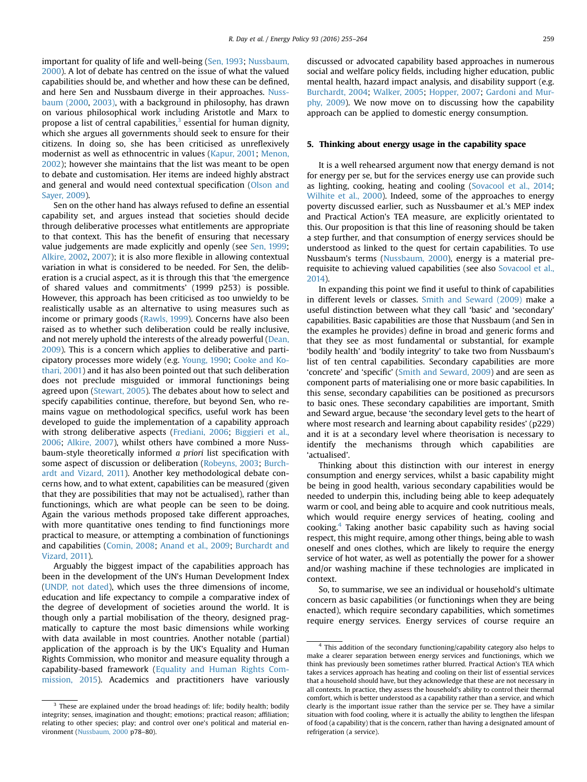important for quality of life and well-being [\(Sen, 1993;](#page-9-0) [Nussbaum,](#page-8-0) [2000](#page-8-0)). A lot of debate has centred on the issue of what the valued capabilities should be, and whether and how these can be defined, and here Sen and Nussbaum diverge in their approaches. [Nuss](#page-8-0)[baum \(2000,](#page-8-0) [2003\),](#page-8-0) with a background in philosophy, has drawn on various philosophical work including Aristotle and Marx to propose a list of central capabilities, $3$  essential for human dignity, which she argues all governments should seek to ensure for their citizens. In doing so, she has been criticised as unreflexively modernist as well as ethnocentric in values ([Kapur, 2001;](#page-8-0) [Menon,](#page-8-0) [2002\)](#page-8-0); however she maintains that the list was meant to be open to debate and customisation. Her items are indeed highly abstract and general and would need contextual specification ([Olson and](#page-8-0) [Sayer, 2009\)](#page-8-0).

Sen on the other hand has always refused to define an essential capability set, and argues instead that societies should decide through deliberative processes what entitlements are appropriate to that context. This has the benefit of ensuring that necessary value judgements are made explicitly and openly (see [Sen, 1999;](#page-9-0) [Alkire, 2002,](#page-8-0) [2007\)](#page-8-0); it is also more flexible in allowing contextual variation in what is considered to be needed. For Sen, the deliberation is a crucial aspect, as it is through this that 'the emergence of shared values and commitments' (1999 p253) is possible. However, this approach has been criticised as too unwieldy to be realistically usable as an alternative to using measures such as income or primary goods ([Rawls, 1999\)](#page-8-0). Concerns have also been raised as to whether such deliberation could be really inclusive, and not merely uphold the interests of the already powerful [\(Dean,](#page-8-0) [2009\)](#page-8-0). This is a concern which applies to deliberative and participatory processes more widely (e.g. [Young, 1990;](#page-9-0) [Cooke and Ko](#page-8-0)[thari, 2001\)](#page-8-0) and it has also been pointed out that such deliberation does not preclude misguided or immoral functionings being agreed upon [\(Stewart, 2005\)](#page-9-0). The debates about how to select and specify capabilities continue, therefore, but beyond Sen, who remains vague on methodological specifics, useful work has been developed to guide the implementation of a capability approach with strong deliberative aspects ([Frediani, 2006;](#page-8-0) [Biggieri et al.,](#page-8-0) [2006;](#page-8-0) [Alkire, 2007](#page-8-0)), whilst others have combined a more Nussbaum-style theoretically informed a priori list specification with some aspect of discussion or deliberation ([Robeyns, 2003](#page-8-0); [Burch](#page-8-0)[ardt and Vizard, 2011\)](#page-8-0). Another key methodological debate concerns how, and to what extent, capabilities can be measured (given that they are possibilities that may not be actualised), rather than functionings, which are what people can be seen to be doing. Again the various methods proposed take different approaches, with more quantitative ones tending to find functionings more practical to measure, or attempting a combination of functionings and capabilities [\(Comin, 2008;](#page-8-0) [Anand et al., 2009](#page-8-0); [Burchardt and](#page-8-0) [Vizard, 2011](#page-8-0)).

Arguably the biggest impact of the capabilities approach has been in the development of the UN's Human Development Index ([UNDP, not dated](#page-9-0)), which uses the three dimensions of income, education and life expectancy to compile a comparative index of the degree of development of societies around the world. It is though only a partial mobilisation of the theory, designed pragmatically to capture the most basic dimensions while working with data available in most countries. Another notable (partial) application of the approach is by the UK's Equality and Human Rights Commission, who monitor and measure equality through a capability-based framework [\(Equality and Human Rights Com](#page-8-0)[mission, 2015\)](#page-8-0). Academics and practitioners have variously

discussed or advocated capability based approaches in numerous social and welfare policy fields, including higher education, public mental health, hazard impact analysis, and disability support (e.g. [Burchardt, 2004](#page-8-0); [Walker, 2005;](#page-9-0) [Hopper, 2007;](#page-8-0) [Gardoni and Mur](#page-8-0)[phy, 2009](#page-8-0)). We now move on to discussing how the capability approach can be applied to domestic energy consumption.

#### 5. Thinking about energy usage in the capability space

It is a well rehearsed argument now that energy demand is not for energy per se, but for the services energy use can provide such as lighting, cooking, heating and cooling ([Sovacool et al., 2014;](#page-9-0) [Wilhite et al., 2000\)](#page-9-0). Indeed, some of the approaches to energy poverty discussed earlier, such as Nussbaumer et al.'s MEP index and Practical Action's TEA measure, are explicitly orientated to this. Our proposition is that this line of reasoning should be taken a step further, and that consumption of energy services should be understood as linked to the quest for certain capabilities. To use Nussbaum's terms [\(Nussbaum, 2000](#page-8-0)), energy is a material prerequisite to achieving valued capabilities (see also [Sovacool et al.,](#page-9-0) [2014\)](#page-9-0).

In expanding this point we find it useful to think of capabilities in different levels or classes. [Smith and Seward \(2009\)](#page-9-0) make a useful distinction between what they call 'basic' and 'secondary' capabilities. Basic capabilities are those that Nussbaum (and Sen in the examples he provides) define in broad and generic forms and that they see as most fundamental or substantial, for example 'bodily health' and 'bodily integrity' to take two from Nussbaum's list of ten central capabilities. Secondary capabilities are more 'concrete' and 'specific' ([Smith and Seward, 2009\)](#page-9-0) and are seen as component parts of materialising one or more basic capabilities. In this sense, secondary capabilities can be positioned as precursors to basic ones. These secondary capabilities are important, Smith and Seward argue, because 'the secondary level gets to the heart of where most research and learning about capability resides' (p229) and it is at a secondary level where theorisation is necessary to identify the mechanisms through which capabilities are 'actualised'.

Thinking about this distinction with our interest in energy consumption and energy services, whilst a basic capability might be being in good health, various secondary capabilities would be needed to underpin this, including being able to keep adequately warm or cool, and being able to acquire and cook nutritious meals, which would require energy services of heating, cooling and cooking.<sup>4</sup> Taking another basic capability such as having social respect, this might require, among other things, being able to wash oneself and ones clothes, which are likely to require the energy service of hot water, as well as potentially the power for a shower and/or washing machine if these technologies are implicated in context.

So, to summarise, we see an individual or household's ultimate concern as basic capabilities (or functionings when they are being enacted), which require secondary capabilities, which sometimes require energy services. Energy services of course require an

<sup>&</sup>lt;sup>3</sup> These are explained under the broad headings of: life; bodily health; bodily integrity; senses, imagination and thought; emotions; practical reason; affiliation; relating to other species; play; and control over one's political and material environment [\(Nussbaum, 2000](#page-8-0) p78–80).

<sup>&</sup>lt;sup>4</sup> This addition of the secondary functioning/capability category also helps to make a clearer separation between energy services and functionings, which we think has previously been sometimes rather blurred. Practical Action's TEA which takes a services approach has heating and cooling on their list of essential services that a household should have, but they acknowledge that these are not necessary in all contexts. In practice, they assess the household's ability to control their thermal comfort, which is better understood as a capability rather than a service, and which clearly is the important issue rather than the service per se. They have a similar situation with food cooling, where it is actually the ability to lengthen the lifespan of food (a capability) that is the concern, rather than having a designated amount of refrigeration (a service).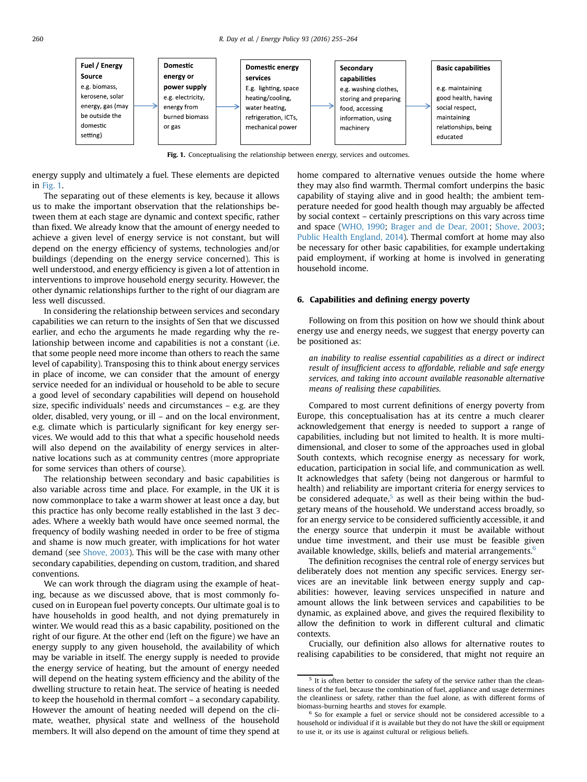

Fig. 1. Conceptualising the relationship between energy, services and outcomes.

energy supply and ultimately a fuel. These elements are depicted in Fig. 1.

The separating out of these elements is key, because it allows us to make the important observation that the relationships between them at each stage are dynamic and context specific, rather than fixed. We already know that the amount of energy needed to achieve a given level of energy service is not constant, but will depend on the energy efficiency of systems, technologies and/or buildings (depending on the energy service concerned). This is well understood, and energy efficiency is given a lot of attention in interventions to improve household energy security. However, the other dynamic relationships further to the right of our diagram are less well discussed.

In considering the relationship between services and secondary capabilities we can return to the insights of Sen that we discussed earlier, and echo the arguments he made regarding why the relationship between income and capabilities is not a constant (i.e. that some people need more income than others to reach the same level of capability). Transposing this to think about energy services in place of income, we can consider that the amount of energy service needed for an individual or household to be able to secure a good level of secondary capabilities will depend on household size, specific individuals' needs and circumstances – e.g. are they older, disabled, very young, or ill – and on the local environment, e.g. climate which is particularly significant for key energy services. We would add to this that what a specific household needs will also depend on the availability of energy services in alternative locations such as at community centres (more appropriate for some services than others of course).

The relationship between secondary and basic capabilities is also variable across time and place. For example, in the UK it is now commonplace to take a warm shower at least once a day, but this practice has only become really established in the last 3 decades. Where a weekly bath would have once seemed normal, the frequency of bodily washing needed in order to be free of stigma and shame is now much greater, with implications for hot water demand (see [Shove, 2003\)](#page-9-0). This will be the case with many other secondary capabilities, depending on custom, tradition, and shared conventions.

We can work through the diagram using the example of heating, because as we discussed above, that is most commonly focused on in European fuel poverty concepts. Our ultimate goal is to have households in good health, and not dying prematurely in winter. We would read this as a basic capability, positioned on the right of our figure. At the other end (left on the figure) we have an energy supply to any given household, the availability of which may be variable in itself. The energy supply is needed to provide the energy service of heating, but the amount of energy needed will depend on the heating system efficiency and the ability of the dwelling structure to retain heat. The service of heating is needed to keep the household in thermal comfort – a secondary capability. However the amount of heating needed will depend on the climate, weather, physical state and wellness of the household members. It will also depend on the amount of time they spend at home compared to alternative venues outside the home where they may also find warmth. Thermal comfort underpins the basic capability of staying alive and in good health; the ambient temperature needed for good health though may arguably be affected by social context – certainly prescriptions on this vary across time and space ([WHO, 1990;](#page-9-0) [Brager and de Dear, 2001](#page-8-0); [Shove, 2003;](#page-9-0) [Public Health England, 2014](#page-8-0)). Thermal comfort at home may also be necessary for other basic capabilities, for example undertaking paid employment, if working at home is involved in generating household income.

### 6. Capabilities and defining energy poverty

Following on from this position on how we should think about energy use and energy needs, we suggest that energy poverty can be positioned as:

an inability to realise essential capabilities as a direct or indirect result of insufficient access to affordable, reliable and safe energy services, and taking into account available reasonable alternative means of realising these capabilities.

Compared to most current definitions of energy poverty from Europe, this conceptualisation has at its centre a much clearer acknowledgement that energy is needed to support a range of capabilities, including but not limited to health. It is more multidimensional, and closer to some of the approaches used in global South contexts, which recognise energy as necessary for work, education, participation in social life, and communication as well. It acknowledges that safety (being not dangerous or harmful to health) and reliability are important criteria for energy services to be considered adequate, $5$  as well as their being within the budgetary means of the household. We understand access broadly, so for an energy service to be considered sufficiently accessible, it and the energy source that underpin it must be available without undue time investment, and their use must be feasible given available knowledge, skills, beliefs and material arrangements.<sup>6</sup>

The definition recognises the central role of energy services but deliberately does not mention any specific services. Energy services are an inevitable link between energy supply and capabilities: however, leaving services unspecified in nature and amount allows the link between services and capabilities to be dynamic, as explained above, and gives the required flexibility to allow the definition to work in different cultural and climatic contexts.

Crucially, our definition also allows for alternative routes to realising capabilities to be considered, that might not require an

 $5$  It is often better to consider the safety of the service rather than the cleanliness of the fuel, because the combination of fuel, appliance and usage determines the cleanliness or safety, rather than the fuel alone, as with different forms of biomass-burning hearths and stoves for example.

<sup>6</sup> So for example a fuel or service should not be considered accessible to a household or individual if it is available but they do not have the skill or equipment to use it, or its use is against cultural or religious beliefs.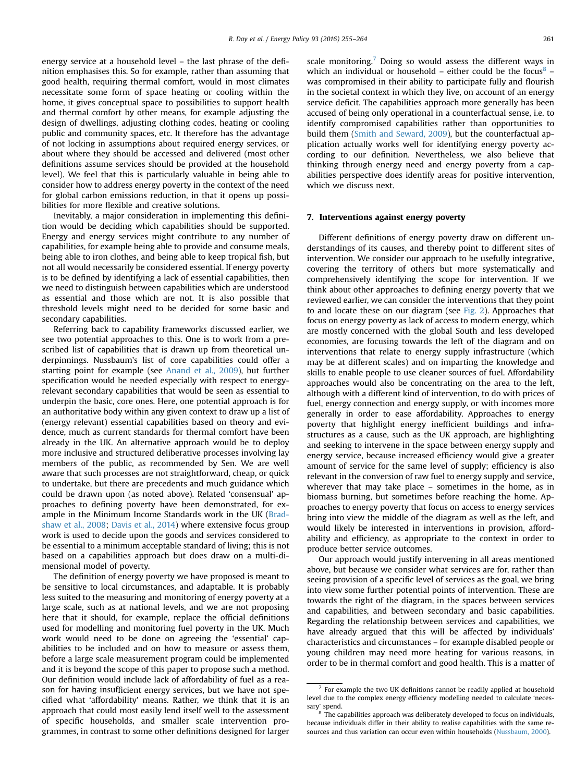energy service at a household level – the last phrase of the definition emphasises this. So for example, rather than assuming that good health, requiring thermal comfort, would in most climates necessitate some form of space heating or cooling within the home, it gives conceptual space to possibilities to support health and thermal comfort by other means, for example adjusting the design of dwellings, adjusting clothing codes, heating or cooling public and community spaces, etc. It therefore has the advantage of not locking in assumptions about required energy services, or about where they should be accessed and delivered (most other definitions assume services should be provided at the household level). We feel that this is particularly valuable in being able to consider how to address energy poverty in the context of the need for global carbon emissions reduction, in that it opens up possibilities for more flexible and creative solutions.

Inevitably, a major consideration in implementing this definition would be deciding which capabilities should be supported. Energy and energy services might contribute to any number of capabilities, for example being able to provide and consume meals, being able to iron clothes, and being able to keep tropical fish, but not all would necessarily be considered essential. If energy poverty is to be defined by identifying a lack of essential capabilities, then we need to distinguish between capabilities which are understood as essential and those which are not. It is also possible that threshold levels might need to be decided for some basic and secondary capabilities.

Referring back to capability frameworks discussed earlier, we see two potential approaches to this. One is to work from a prescribed list of capabilities that is drawn up from theoretical underpinnings. Nussbaum's list of core capabilities could offer a starting point for example (see [Anand et al., 2009\)](#page-8-0), but further specification would be needed especially with respect to energyrelevant secondary capabilities that would be seen as essential to underpin the basic, core ones. Here, one potential approach is for an authoritative body within any given context to draw up a list of (energy relevant) essential capabilities based on theory and evidence, much as current standards for thermal comfort have been already in the UK. An alternative approach would be to deploy more inclusive and structured deliberative processes involving lay members of the public, as recommended by Sen. We are well aware that such processes are not straightforward, cheap, or quick to undertake, but there are precedents and much guidance which could be drawn upon (as noted above). Related 'consensual' approaches to defining poverty have been demonstrated, for example in the Minimum Income Standards work in the UK ([Brad](#page-8-0)[shaw et al., 2008](#page-8-0); [Davis et al., 2014\)](#page-8-0) where extensive focus group work is used to decide upon the goods and services considered to be essential to a minimum acceptable standard of living; this is not based on a capabilities approach but does draw on a multi-dimensional model of poverty.

The definition of energy poverty we have proposed is meant to be sensitive to local circumstances, and adaptable. It is probably less suited to the measuring and monitoring of energy poverty at a large scale, such as at national levels, and we are not proposing here that it should, for example, replace the official definitions used for modelling and monitoring fuel poverty in the UK. Much work would need to be done on agreeing the 'essential' capabilities to be included and on how to measure or assess them, before a large scale measurement program could be implemented and it is beyond the scope of this paper to propose such a method. Our definition would include lack of affordability of fuel as a reason for having insufficient energy services, but we have not specified what 'affordability' means. Rather, we think that it is an approach that could most easily lend itself well to the assessment of specific households, and smaller scale intervention programmes, in contrast to some other definitions designed for larger scale monitoring.<sup>7</sup> Doing so would assess the different ways in which an individual or household – either could be the focus $8$ was compromised in their ability to participate fully and flourish in the societal context in which they live, on account of an energy service deficit. The capabilities approach more generally has been accused of being only operational in a counterfactual sense, i.e. to identify compromised capabilities rather than opportunities to build them ([Smith and Seward, 2009\)](#page-9-0), but the counterfactual application actually works well for identifying energy poverty according to our definition. Nevertheless, we also believe that thinking through energy need and energy poverty from a capabilities perspective does identify areas for positive intervention, which we discuss next.

#### 7. Interventions against energy poverty

Different definitions of energy poverty draw on different understandings of its causes, and thereby point to different sites of intervention. We consider our approach to be usefully integrative, covering the territory of others but more systematically and comprehensively identifying the scope for intervention. If we think about other approaches to defining energy poverty that we reviewed earlier, we can consider the interventions that they point to and locate these on our diagram (see [Fig. 2\)](#page-7-0). Approaches that focus on energy poverty as lack of access to modern energy, which are mostly concerned with the global South and less developed economies, are focusing towards the left of the diagram and on interventions that relate to energy supply infrastructure (which may be at different scales) and on imparting the knowledge and skills to enable people to use cleaner sources of fuel. Affordability approaches would also be concentrating on the area to the left, although with a different kind of intervention, to do with prices of fuel, energy connection and energy supply, or with incomes more generally in order to ease affordability. Approaches to energy poverty that highlight energy inefficient buildings and infrastructures as a cause, such as the UK approach, are highlighting and seeking to intervene in the space between energy supply and energy service, because increased efficiency would give a greater amount of service for the same level of supply; efficiency is also relevant in the conversion of raw fuel to energy supply and service, wherever that may take place – sometimes in the home, as in biomass burning, but sometimes before reaching the home. Approaches to energy poverty that focus on access to energy services bring into view the middle of the diagram as well as the left, and would likely be interested in interventions in provision, affordability and efficiency, as appropriate to the context in order to produce better service outcomes.

Our approach would justify intervening in all areas mentioned above, but because we consider what services are for, rather than seeing provision of a specific level of services as the goal, we bring into view some further potential points of intervention. These are towards the right of the diagram, in the spaces between services and capabilities, and between secondary and basic capabilities. Regarding the relationship between services and capabilities, we have already argued that this will be affected by individuals' characteristics and circumstances – for example disabled people or young children may need more heating for various reasons, in order to be in thermal comfort and good health. This is a matter of

For example the two UK definitions cannot be readily applied at household level due to the complex energy efficiency modelling needed to calculate 'neces-

sary' spend. <sup>8</sup> The capabilities approach was deliberately developed to focus on individuals, because individuals differ in their ability to realise capabilities with the same resources and thus variation can occur even within households ([Nussbaum, 2000\)](#page-8-0).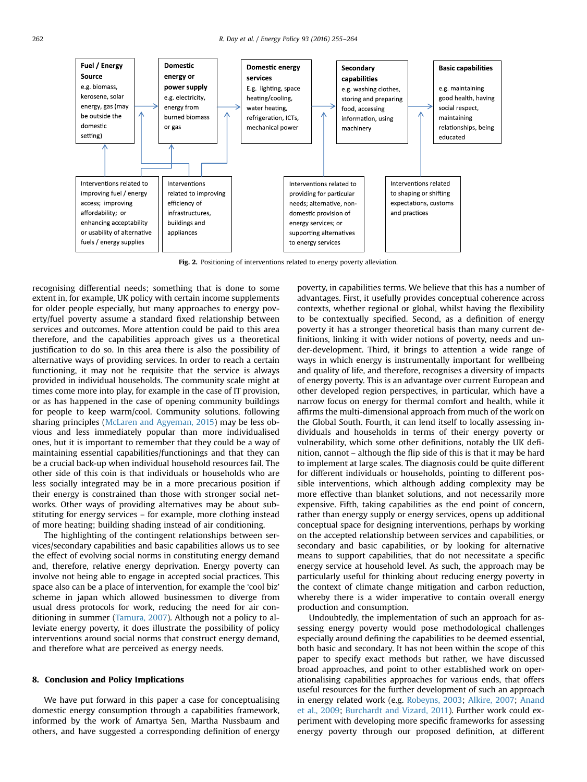<span id="page-7-0"></span>

Fig. 2. Positioning of interventions related to energy poverty alleviation.

recognising differential needs; something that is done to some extent in, for example, UK policy with certain income supplements for older people especially, but many approaches to energy poverty/fuel poverty assume a standard fixed relationship between services and outcomes. More attention could be paid to this area therefore, and the capabilities approach gives us a theoretical justification to do so. In this area there is also the possibility of alternative ways of providing services. In order to reach a certain functioning, it may not be requisite that the service is always provided in individual households. The community scale might at times come more into play, for example in the case of IT provision, or as has happened in the case of opening community buildings for people to keep warm/cool. Community solutions, following sharing principles ([McLaren and Agyeman, 2015](#page-8-0)) may be less obvious and less immediately popular than more individualised ones, but it is important to remember that they could be a way of maintaining essential capabilities/functionings and that they can be a crucial back-up when individual household resources fail. The other side of this coin is that individuals or households who are less socially integrated may be in a more precarious position if their energy is constrained than those with stronger social networks. Other ways of providing alternatives may be about substituting for energy services – for example, more clothing instead of more heating; building shading instead of air conditioning.

The highlighting of the contingent relationships between services/secondary capabilities and basic capabilities allows us to see the effect of evolving social norms in constituting energy demand and, therefore, relative energy deprivation. Energy poverty can involve not being able to engage in accepted social practices. This space also can be a place of intervention, for example the 'cool biz' scheme in japan which allowed businessmen to diverge from usual dress protocols for work, reducing the need for air conditioning in summer [\(Tamura, 2007\)](#page-9-0). Although not a policy to alleviate energy poverty, it does illustrate the possibility of policy interventions around social norms that construct energy demand, and therefore what are perceived as energy needs.

#### 8. Conclusion and Policy Implications

We have put forward in this paper a case for conceptualising domestic energy consumption through a capabilities framework, informed by the work of Amartya Sen, Martha Nussbaum and others, and have suggested a corresponding definition of energy poverty, in capabilities terms. We believe that this has a number of advantages. First, it usefully provides conceptual coherence across contexts, whether regional or global, whilst having the flexibility to be contextually specified. Second, as a definition of energy poverty it has a stronger theoretical basis than many current definitions, linking it with wider notions of poverty, needs and under-development. Third, it brings to attention a wide range of ways in which energy is instrumentally important for wellbeing and quality of life, and therefore, recognises a diversity of impacts of energy poverty. This is an advantage over current European and other developed region perspectives, in particular, which have a narrow focus on energy for thermal comfort and health, while it affirms the multi-dimensional approach from much of the work on the Global South. Fourth, it can lend itself to locally assessing individuals and households in terms of their energy poverty or vulnerability, which some other definitions, notably the UK definition, cannot – although the flip side of this is that it may be hard to implement at large scales. The diagnosis could be quite different for different individuals or households, pointing to different possible interventions, which although adding complexity may be more effective than blanket solutions, and not necessarily more expensive. Fifth, taking capabilities as the end point of concern, rather than energy supply or energy services, opens up additional conceptual space for designing interventions, perhaps by working on the accepted relationship between services and capabilities, or secondary and basic capabilities, or by looking for alternative means to support capabilities, that do not necessitate a specific energy service at household level. As such, the approach may be particularly useful for thinking about reducing energy poverty in the context of climate change mitigation and carbon reduction, whereby there is a wider imperative to contain overall energy production and consumption.

Undoubtedly, the implementation of such an approach for assessing energy poverty would pose methodological challenges especially around defining the capabilities to be deemed essential, both basic and secondary. It has not been within the scope of this paper to specify exact methods but rather, we have discussed broad approaches, and point to other established work on operationalising capabilities approaches for various ends, that offers useful resources for the further development of such an approach in energy related work (e.g. [Robeyns, 2003](#page-8-0); [Alkire, 2007](#page-8-0); [Anand](#page-8-0) [et al., 2009;](#page-8-0) [Burchardt and Vizard, 2011](#page-8-0)). Further work could experiment with developing more specific frameworks for assessing energy poverty through our proposed definition, at different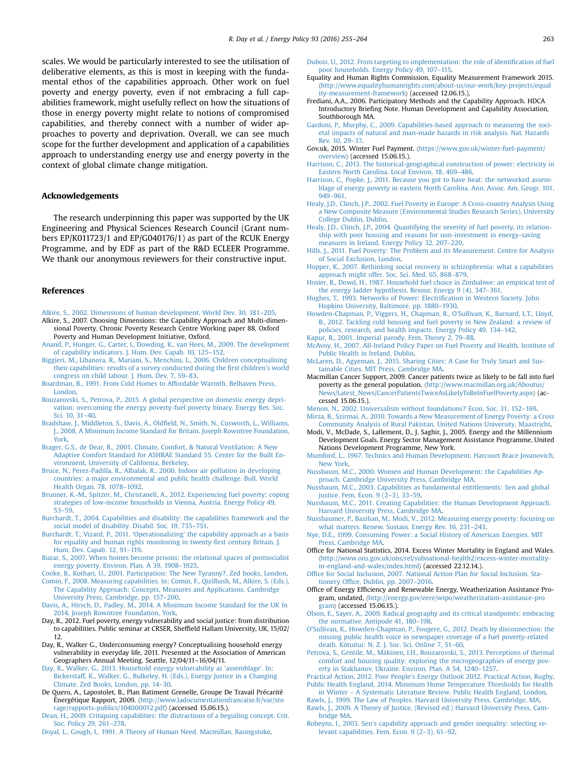<span id="page-8-0"></span>scales. We would be particularly interested to see the utilisation of deliberative elements, as this is most in keeping with the fundamental ethos of the capabilities approach. Other work on fuel poverty and energy poverty, even if not embracing a full capabilities framework, might usefully reflect on how the situations of those in energy poverty might relate to notions of compromised capabilities, and thereby connect with a number of wider approaches to poverty and deprivation. Overall, we can see much scope for the further development and application of a capabilities approach to understanding energy use and energy poverty in the context of global climate change mitigation.

### Acknowledgements

The research underpinning this paper was supported by the UK Engineering and Physical Sciences Research Council (Grant numbers EP/K011723/1 and EP/G040176/1) as part of the RCUK Energy Programme, and by EDF as part of the R&D ECLEER Programme. We thank our anonymous reviewers for their constructive input.

#### References

- [Alkire, S., 2002. Dimensions of human development. World Dev. 30, 181](http://refhub.elsevier.com/S0301-4215(16)30122-7/sbref1)–205.
- Alkire, S., 2007. Choosing Dimensions: the Capability Approach and Multi-dimensional Poverty. Chronic Poverty Research Centre Working paper 88, Oxford Poverty and Human Development Initiative, Oxford.
- [Anand, P., Hunger, G., Carter, I., Dowding, K., van Hees, M., 2009. The development](http://refhub.elsevier.com/S0301-4215(16)30122-7/sbref2) [of capability indicators. J. Hum. Dev. Capab. 10, 125](http://refhub.elsevier.com/S0301-4215(16)30122-7/sbref2)–152.
- [Biggieri, M., Libanora, R., Mariani, S., Menchini, L., 2006. Children conceptualising](http://refhub.elsevier.com/S0301-4215(16)30122-7/sbref3) [their capabilities: results of a survey conducted during the](http://refhub.elsevier.com/S0301-4215(16)30122-7/sbref3) first children's world [congress on child labour. J. Hum. Dev. 7, 59](http://refhub.elsevier.com/S0301-4215(16)30122-7/sbref3)–83.
- [Boardman, B., 1991. From Cold Homes to Affordable Warmth. Belhaven Press,](http://refhub.elsevier.com/S0301-4215(16)30122-7/sbref4) [London.](http://refhub.elsevier.com/S0301-4215(16)30122-7/sbref4)
- [Bouzarovski, S., Petrova, P., 2015. A global perspective on domestic energy depri](http://refhub.elsevier.com/S0301-4215(16)30122-7/sbref5)[vation: overcoming the energy poverty-fuel poverty binary. Energy Res. Soc.](http://refhub.elsevier.com/S0301-4215(16)30122-7/sbref5) [Sci. 10, 31](http://refhub.elsevier.com/S0301-4215(16)30122-7/sbref5)–40.
- Bradshaw, J., Middleton, S., Davis, A., Oldfi[eld, N., Smith, N., Cusworth, L., Williams,](http://refhub.elsevier.com/S0301-4215(16)30122-7/sbref4572) [J., 2008. A Minimum Income Standard for Britain. Joseph Rowntree Foundation,](http://refhub.elsevier.com/S0301-4215(16)30122-7/sbref4572) [York.](http://refhub.elsevier.com/S0301-4215(16)30122-7/sbref4572)
- [Brager, G.S., de Dear, R., 2001. Climate, Comfort, & Natural Ventilation: A New](http://refhub.elsevier.com/S0301-4215(16)30122-7/sbref7) [Adaptive Comfort Standard for ASHRAE Standard 55. Center for the Built En](http://refhub.elsevier.com/S0301-4215(16)30122-7/sbref7)[vironment, University of California, Berkeley.](http://refhub.elsevier.com/S0301-4215(16)30122-7/sbref7)
- [Bruce, N., Perez-Padilla, R., Albalak, R., 2000. Indoor air pollution in developing](http://refhub.elsevier.com/S0301-4215(16)30122-7/sbref8) [countries: a major environmental and public health challenge. Bull. World](http://refhub.elsevier.com/S0301-4215(16)30122-7/sbref8) [Health Organ. 78, 1078](http://refhub.elsevier.com/S0301-4215(16)30122-7/sbref8)–1092.
- [Brunner, K.-M., Spitzer, M., Christanell, A., 2012. Experiencing fuel poverty: coping](http://refhub.elsevier.com/S0301-4215(16)30122-7/sbref9) [strategies of low-income households in Vienna, Austria. Energy Policy 49,](http://refhub.elsevier.com/S0301-4215(16)30122-7/sbref9) [53](http://refhub.elsevier.com/S0301-4215(16)30122-7/sbref9)–[59.](http://refhub.elsevier.com/S0301-4215(16)30122-7/sbref9)
- [Burchardt, T., 2004. Capabilities and disability: the capabilities framework and the](http://refhub.elsevier.com/S0301-4215(16)30122-7/sbref10) [social model of disability. Disabil. Soc. 19, 735](http://refhub.elsevier.com/S0301-4215(16)30122-7/sbref10)–751.
- Burchardt, T., Vizard, P., 2011. 'Operationalizing' [the capability approach as a basis](http://refhub.elsevier.com/S0301-4215(16)30122-7/sbref11) [for equality and human rights monitoring in twenty-](http://refhub.elsevier.com/S0301-4215(16)30122-7/sbref11)first century Britain. J. [Hum. Dev. Capab. 12, 91](http://refhub.elsevier.com/S0301-4215(16)30122-7/sbref11)–119.
- [Buzar, S., 2007. When homes become prisons: the relational spaces of postsocialist](http://refhub.elsevier.com/S0301-4215(16)30122-7/sbref12) [energy poverty. Environ. Plan. A 39, 1908](http://refhub.elsevier.com/S0301-4215(16)30122-7/sbref12)–1925.
- [Cooke, B., Kothari, U., 2001. Participation: The New Tyranny?. Zed books, London.](http://refhub.elsevier.com/S0301-4215(16)30122-7/sbref13)
- [Comin, F., 2008. Measuring capabilities. In: Comin, F., Qizilbash, M., Alkire, S. \(Eds.\),](http://refhub.elsevier.com/S0301-4215(16)30122-7/sbref14) [The Capability Approach: Concepts, Measures and Applications. Cambridge](http://refhub.elsevier.com/S0301-4215(16)30122-7/sbref14) [University Press, Cambridge, pp. 157](http://refhub.elsevier.com/S0301-4215(16)30122-7/sbref14)–200.
- [Davis, A., Hirsch, D., Padley, M., 2014. A Minimum Income Standard for the UK In](http://refhub.elsevier.com/S0301-4215(16)30122-7/sbref15) [2014. Joseph Rowntree Foundation, York.](http://refhub.elsevier.com/S0301-4215(16)30122-7/sbref15)
- Day, R., 2012. Fuel poverty, energy vulnerability and social justice: from distribution to capabilities. Public seminar at CRSER, Sheffield Hallam University, UK, 15/02/ 12.
- Day, R., Walker G., Underconsuming energy? Conceptualising household energy vulnerability in everyday life, 2011. Presented at the Association of American Geographers Annual Meeting. Seattle, 12/04/11–16/04/11.
- [Day, R., Walker, G., 2013. Household energy vulnerability as](http://refhub.elsevier.com/S0301-4215(16)30122-7/sbref16) 'assemblage'. In: [Bickerstaff, K., Walker, G., Bulkeley, H. \(Eds.\), Energy Justice in a Changing](http://refhub.elsevier.com/S0301-4215(16)30122-7/sbref16) [Climate. Zed Books, London, pp. 14](http://refhub.elsevier.com/S0301-4215(16)30122-7/sbref16)–30.
- De Quero, A., Lapostolet, B., Plan Batiment Grenelle, Groupe De Travail Précarité Énergétique Rapport, 2009. 〈[http://www.ladocumentationfrancaise.fr/var/sto](http://www.ladocumentationfrancaise.fr/var/storage/rapports-publics/104000012.pdf) [rage/rapports-publics/104000012.pdf](http://www.ladocumentationfrancaise.fr/var/storage/rapports-publics/104000012.pdf)〉 (accessed 15.06.15.).
- [Dean, H., 2009. Critiquing capabilities: the distractions of a beguiling concept. Crit.](http://refhub.elsevier.com/S0301-4215(16)30122-7/sbref17) [Soc. Policy 29, 261](http://refhub.elsevier.com/S0301-4215(16)30122-7/sbref17)–278.
- [Doyal, L., Gough, I., 1991. A Theory of Human Need. Macmillan, Basingstoke.](http://refhub.elsevier.com/S0301-4215(16)30122-7/sbref18)
- [Dubois, U., 2012. From targeting to implementation: the role of identi](http://refhub.elsevier.com/S0301-4215(16)30122-7/sbref19)fication of fuel [poor households. Energy Policy 49, 107](http://refhub.elsevier.com/S0301-4215(16)30122-7/sbref19)–115.
- Equality and Human Rights Commission, Equality Measurement Framework 2015. 〈[http://www.equalityhumanrights.com/about-us/our-work/key-projects/equal](http://www.equalityhumanrights.com/about-us/our-work/key-projects/equality-measurement-framework) [ity-measurement-framework](http://www.equalityhumanrights.com/about-us/our-work/key-projects/equality-measurement-framework)〉 (accessed 12.06.15.).
- Frediani, A.A., 2006. Participatory Methods and the Capability Approach. HDCA Introductory Briefing Note. Human Development and Capability Association, Southborough MA.
- [Gardoni, P., Murphy, C., 2009. Capabilities-based approach to measuring the soci](http://refhub.elsevier.com/S0301-4215(16)30122-7/sbref20)[etal impacts of natural and man-made hazards in risk analysis. Nat. Hazards](http://refhub.elsevier.com/S0301-4215(16)30122-7/sbref20) [Rev. 10, 29](http://refhub.elsevier.com/S0301-4215(16)30122-7/sbref20)–37.
- Gov.uk, 2015. Winter Fuel Payment. 〈[https://www.gov.uk/winter-fuel-payment/](https://www.gov.uk/winter-fuel-payment/overview) [overview](https://www.gov.uk/winter-fuel-payment/overview)〉 (accessed 15.06.15.).
- [Harrison, C., 2013. The historical-geographical construction of power: electricity in](http://refhub.elsevier.com/S0301-4215(16)30122-7/sbref21) [Eastern North Carolina. Local Environ. 18, 469](http://refhub.elsevier.com/S0301-4215(16)30122-7/sbref21)–486.
- [Harrison, C., Popke, J., 2011. Because you got to have heat: the networked assem](http://refhub.elsevier.com/S0301-4215(16)30122-7/sbref22)[blage of energy poverty in eastern North Carolina. Ann. Assoc. Am. Geogr. 101,](http://refhub.elsevier.com/S0301-4215(16)30122-7/sbref22) [949](http://refhub.elsevier.com/S0301-4215(16)30122-7/sbref22)–[961.](http://refhub.elsevier.com/S0301-4215(16)30122-7/sbref22)
- [Healy, J.D., Clinch, J.P., 2002. Fuel Poverty in Europe: A Cross-country Analysis Using](http://refhub.elsevier.com/S0301-4215(16)30122-7/sbref23) [a New Composite Measure \(Environmental Studies Research Series\). University](http://refhub.elsevier.com/S0301-4215(16)30122-7/sbref23) [College Dublin, Dublin.](http://refhub.elsevier.com/S0301-4215(16)30122-7/sbref23)
- [Healy, J.D., Clinch, J.P., 2004. Quantifying the severity of fuel poverty, its relation](http://refhub.elsevier.com/S0301-4215(16)30122-7/sbref24)[ship with poor housing and reasons for non-investment in energy-saving](http://refhub.elsevier.com/S0301-4215(16)30122-7/sbref24) [measures in Ireland. Energy Policy 32, 207](http://refhub.elsevier.com/S0301-4215(16)30122-7/sbref24)–220.
- [Hills, J., 2011. Fuel Poverty: The Problem and its Measurement. Centre for Analysis](http://refhub.elsevier.com/S0301-4215(16)30122-7/sbref25) [of Social Exclusion, London.](http://refhub.elsevier.com/S0301-4215(16)30122-7/sbref25)
- [Hopper, K., 2007. Rethinking social recovery in schizophrenia: what a capabilities](http://refhub.elsevier.com/S0301-4215(16)30122-7/sbref26) [approach might offer. Soc. Sci. Med. 65, 868](http://refhub.elsevier.com/S0301-4215(16)30122-7/sbref26)–879.
- [Hosier, R., Dowd, H., 1987. Household fuel choice in Zimbabwe: an empirical test of](http://refhub.elsevier.com/S0301-4215(16)30122-7/sbref27) [the energy ladder hypothesis. Resour. Energy 9 \(4\), 347](http://refhub.elsevier.com/S0301-4215(16)30122-7/sbref27)–361.
- [Hughes, T., 1993. Networks of Power: Electri](http://refhub.elsevier.com/S0301-4215(16)30122-7/sbref28)fication in Western Society. John [Hopkins University, Baltimore, pp. 1880](http://refhub.elsevier.com/S0301-4215(16)30122-7/sbref28)–1930.
- [Howden-Chapman, P., Viggers, H., Chapman, R., O](http://refhub.elsevier.com/S0301-4215(16)30122-7/sbref29)'Sullivan, K., Barnard, L.T., Lloyd, [B., 2012. Tackling cold housing and fuel poverty in New Zealand: a review of](http://refhub.elsevier.com/S0301-4215(16)30122-7/sbref29) [policies, research, and health impacts. Energy Policy 49, 134](http://refhub.elsevier.com/S0301-4215(16)30122-7/sbref29)–142.
- [Kapur, R., 2001. Imperial parody. Fem. Theory 2, 79](http://refhub.elsevier.com/S0301-4215(16)30122-7/sbref30)–88.
- [McAvoy, H., 2007. All-Ireland Policy Paper on Fuel Poverty and Health. Institute of](http://refhub.elsevier.com/S0301-4215(16)30122-7/sbref31) [Public Health in Ireland, Dublin.](http://refhub.elsevier.com/S0301-4215(16)30122-7/sbref31)
- [McLaren, D., Agyeman, J., 2015. Sharing Cities: A Case for Truly Smart and Sus](http://refhub.elsevier.com/S0301-4215(16)30122-7/sbref32)[tainable Cities. MIT Press, Cambridge MA.](http://refhub.elsevier.com/S0301-4215(16)30122-7/sbref32)
- Macmillan Cancer Support, 2009. Cancer patients twice as likely to be fall into fuel poverty as the general population.  $\langle$ [http://www.macmillan.org.uk/Aboutus/](http://www.macmillan.org.uk/Aboutus/News/Latest_News/CancerPatientsTwiceAsLikelyToBeInFuelPoverty.aspx) [News/Latest\\_News/CancerPatientsTwiceAsLikelyToBeInFuelPoverty.aspx](http://www.macmillan.org.uk/Aboutus/News/Latest_News/CancerPatientsTwiceAsLikelyToBeInFuelPoverty.aspx)〉 (accessed 15.06.15.).
- [Menon, N., 2002. Universalism without foundations? Econ. Soc. 31, 152](http://refhub.elsevier.com/S0301-4215(16)30122-7/sbref33)–169. [Mirza, B., Szirmai, A., 2010. Towards a New Measurement of Energy Poverty: a Cross](http://refhub.elsevier.com/S0301-4215(16)30122-7/sbref34)
- [Community Analysis of Rural Pakistan. United Nations University, Maastricht.](http://refhub.elsevier.com/S0301-4215(16)30122-7/sbref34) Modi, V., McDade, S., Lallement, D., J. Saghir, J., 2005. Energy and the Millennium Development Goals. Energy Sector Management Assistance Programme, United
- Nations Development Programme, New York. [Mumford, L., 1967. Technics and Human Development. Harcourt Brace Jovanovich,](http://refhub.elsevier.com/S0301-4215(16)30122-7/sbref35) [New York.](http://refhub.elsevier.com/S0301-4215(16)30122-7/sbref35)
- [Nussbaum, M.C., 2000. Women and Human Development: the Capabilities Ap](http://refhub.elsevier.com/S0301-4215(16)30122-7/sbref36)[proach. Cambridge University Press, Cambridge MA.](http://refhub.elsevier.com/S0301-4215(16)30122-7/sbref36)
- [Nussbaum, M.C., 2003. Capabilities as fundamental entitlements: Sen and global](http://refhub.elsevier.com/S0301-4215(16)30122-7/sbref37) [justice. Fem. Econ. 9 \(2](http://refhub.elsevier.com/S0301-4215(16)30122-7/sbref37)–3), 33–59.
- [Nussbaum, M.C., 2011. Creating Capabilities: the Human Development Approach.](http://refhub.elsevier.com/S0301-4215(16)30122-7/sbref38) [Harvard University Press, Cambridge MA.](http://refhub.elsevier.com/S0301-4215(16)30122-7/sbref38)
- [Nussbaumer, P., Bazilian, M., Modi, V., 2012. Measuring energy poverty: focusing on](http://refhub.elsevier.com/S0301-4215(16)30122-7/sbref39) [what matters. Renew. Sustain. Energy Rev. 16, 231](http://refhub.elsevier.com/S0301-4215(16)30122-7/sbref39)–243.
- [Nye, D.E., 1999. Consuming Power: a Social History of American Energies. MIT](http://refhub.elsevier.com/S0301-4215(16)30122-7/sbref40) [Press, Cambridge MA.](http://refhub.elsevier.com/S0301-4215(16)30122-7/sbref40)
- Office for National Statistics, 2014. Excess Winter Mortality in England and Wales. 〈[http://www.ons.gov.uk/ons/rel/subnational-health2/excess-winter-mortality](http://www.ons.gov.uk/ons/rel/subnational-health2/excess-winter-mortality-in-england-and-wales/index.html)[in-england-and-wales/index.html](http://www.ons.gov.uk/ons/rel/subnational-health2/excess-winter-mortality-in-england-and-wales/index.html)> (accessed 22.12.14.).
- Offi[ce for Social Inclusion, 2007. National Action Plan for Social Inclusion. Sta](http://refhub.elsevier.com/S0301-4215(16)30122-7/sbref41)tionery Offi[ce, Dublin, pp. 2007](http://refhub.elsevier.com/S0301-4215(16)30122-7/sbref41)–2016.
- Office of Energy Efficiency and Renewable Energy, Weatherization Assistance Program, undated, 〈[http://energy.gov/eere/wipo/weatherization-assistance-pro](http://energy.gov/eere/wipo/weatherization-assistance-program) [gram](http://energy.gov/eere/wipo/weatherization-assistance-program)〉 (accessed 15.06.15.).
- [Olson, E., Sayer, A., 2009. Radical geography and its critical standpoints: embracing](http://refhub.elsevier.com/S0301-4215(16)30122-7/sbref42) [the normative. Antipode 41, 180](http://refhub.elsevier.com/S0301-4215(16)30122-7/sbref42)–198.
- O'[Sullivan, K., Howden-Chapman, P., Fougere, G., 2012. Death by disconnection: the](http://refhub.elsevier.com/S0301-4215(16)30122-7/sbref43) [missing public health voice in newspaper coverage of a fuel poverty-related](http://refhub.elsevier.com/S0301-4215(16)30122-7/sbref43) death. Kō[tuitui: N. Z. J. Soc. Sci. Online 7, 51](http://refhub.elsevier.com/S0301-4215(16)30122-7/sbref43)–60.
- [Petrova, S., Gentile, M., Mäkinen, I.H., Bouzarovski, S., 2013. Perceptions of thermal](http://refhub.elsevier.com/S0301-4215(16)30122-7/sbref44) [comfort and housing quality: exploring the microgeographies of energy pov](http://refhub.elsevier.com/S0301-4215(16)30122-7/sbref44)[erty in Stakhanov, Ukraine. Environ. Plan. A 54, 1240](http://refhub.elsevier.com/S0301-4215(16)30122-7/sbref44)–1257.
- [Practical Action, 2012. Poor People's Energy Outlook 2012. Practical Action, Rugby.](http://refhub.elsevier.com/S0301-4215(16)30122-7/sbref45) [Public Health England, 2014. Minimum Home Temperature Thresholds for Health](http://refhub.elsevier.com/S0301-4215(16)30122-7/sbref46)
- in Winter [A Systematic Literature Review. Public Health England, London.](http://refhub.elsevier.com/S0301-4215(16)30122-7/sbref46) [Rawls, J., 1999. The Law of Peoples. Harvard University Press, Cambridge, MA.](http://refhub.elsevier.com/S0301-4215(16)30122-7/sbref47)
- [Rawls, J., 2009. A Theory of Justice, \(Revised ed.\) Harvard University Press, Cam](http://refhub.elsevier.com/S0301-4215(16)30122-7/sbref48)[bridge MA.](http://refhub.elsevier.com/S0301-4215(16)30122-7/sbref48)
- [Robeyns, I., 2003. Sen's capability approach and gender inequality: selecting re](http://refhub.elsevier.com/S0301-4215(16)30122-7/sbref49)[levant capabilities. Fem. Econ. 9 \(2](http://refhub.elsevier.com/S0301-4215(16)30122-7/sbref49)–3), 61–92.